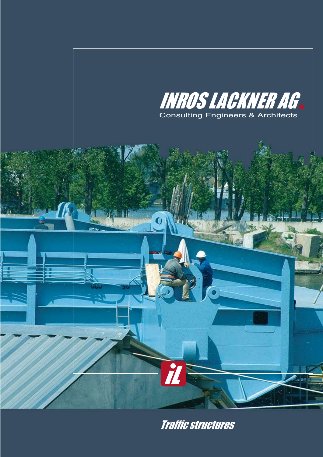

Traffic structures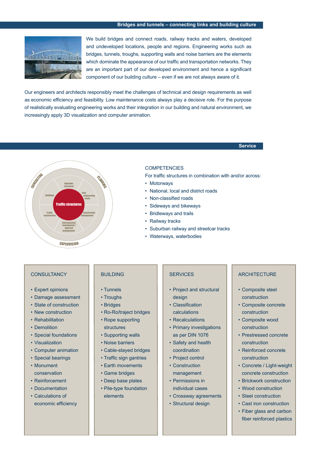### **Bridges and tunnels – connecting links and building culture**



We build bridges and connect roads, railway tracks and waters, developed and undeveloped locations, people and regions. Engineering works such as bridges, tunnels, troughs, supporting walls and noise barriers are the elements which dominate the appearance of our traffic and transportation networks. They are an important part of our developed environment and hence a significant component of our building culture – even if we are not always aware of it.

Our engineers and architects responsibly meet the challenges of technical and design requirements as well as economic efficiency and feasibility. Low maintenance costs always play a decisive role. For the purpose of realistically evaluating engineering works and their integration in our building and natural environment, we increasingly apply 3D visualization and computer animation.

**Service**



#### **COMPETENCIES**

For traffic structures in combination with and/or across:

- Motorways
- • National, local and district roads
- • Non-classified roads
- • Sideways and bikeways
- • Bridleways and trails
- Railway tracks
- • Suburban railway and streetcar tracks
- • Waterways, waterbodies

### **CONSULTANCY**

- Expert opinions
- • Damage assessment
- State of construction
- New construction
- Rehabilitation
- Demolition
- • Special foundations
- • Visualization
- • Computer animation
- • Special bearings
- • Monument conservation
- • Reinforcement
- Documentation
- • Calculations of economic efficiency

# BUILDING

- • Tunnels
- • Troughs
- • Bridges
- • Ro-Ro/traject bridges
- Rope supporting structures
- Supporting walls
- • Noise barriers
- • Cable-stayed bridges
- • Traffic sign gantries
- Earth movements
- • Game bridges
- • Deep base plates
- Pile-type foundation elements

#### **SERVICES**

- Project and structural design
- Classification calculations
- Recalculations
- 
- Primary investigations as per DIN 1076
- • Safety and health coordination
- Project control
- Construction management
- Permissions in individual cases
- • Crossway agreements
- Structural design

### **ARCHITECTURE**

- Composite steel construction
- • Composite concrete construction
- • Composite wood construction
- • Prestressed concrete construction
- • Reinforced concrete construction
- • Concrete / Light-weight concrete construction
- Brickwork construction
- Wood construction
- Steel construction
- • Cast iron construction
- • Fiber glass and carbon fiber reinforced plastics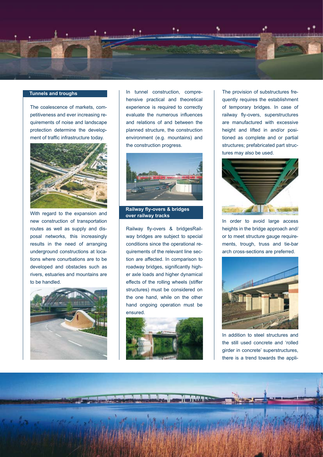

# **Tunnels and troughs**

The coalescence of markets, competitiveness and ever increasing requirements of noise and landscape protection determine the development of traffic infrastructure today.



With regard to the expansion and new construction of transportation routes as well as supply and disposal networks, this increasingly results in the need of arranging underground constructions at locations where conurbations are to be developed and obstacles such as rivers, estuaries and mountains are to be handled.



In tunnel construction, comprehensive practical and theoretical experience is required to correctly evaluate the numerous influences and relations of and between the planned structure, the construction environment (e.g. mountains) and the construction progress.



**Railway fly-overs & bridges over railway tracks**

Railway fly-overs & bridgesRailway bridges are subject to special conditions since the operational requirements of the relevant line section are affected. In comparison to roadway bridges, significantly higher axle loads and higher dynamical effects of the rolling wheels (stiffer structures) must be considered on the one hand, while on the other hand ongoing operation must be ensured.



The provision of substructures frequently requires the establishment of temporary bridges. In case of railway fly-overs, superstructures are manufactured with excessive height and lifted in and/or positioned as complete and or partial structures; prefabricated part structures may also be used.



In order to avoid large access heights in the bridge approach and/ or to meet structure gauge requirements, trough, truss and tie-bar arch cross-sections are preferred.



In addition to steel structures and the still used concrete and 'rolled girder in concrete' superstructures, there is a trend towards the appli-

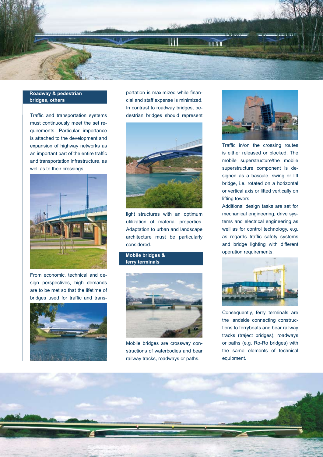

## **Roadway & pedestrian and construction bridges, others**

Traffic and transportation systems must continuously meet the set requirements. Particular importance is attached to the development and expansion of highway networks as an important part of the entire traffic and transportation infrastructure, as well as to their crossings.



From economic, technical and design perspectives, high demands are to be met so that the lifetime of bridges used for traffic and trans-



portation is maximized while financial and staff expense is minimized. In contrast to roadway bridges, pedestrian bridges should represent



light structures with an optimum utilization of material properties. Adaptation to urban and landscape architecture must be particularly considered.

**Mobile bridges & ferry terminals**



Mobile bridges are crossway constructions of waterbodies and bear railway tracks, roadways or paths.



Traffic in/on the crossing routes is either released or blocked. The mobile superstructure/the mobile superstructure component is designed as a bascule, swing or lift bridge, i.e. rotated on a horizontal or vertical axis or lifted vertically on lifting towers.

Additional design tasks are set for mechanical engineering, drive systems and electrical engineering as well as for control technology, e.g. as regards traffic safety systems and bridge lighting with different operation requirements.



Consequently, ferry terminals are the landside connecting constructions to ferryboats and bear railway tracks (traject bridges), roadways or paths (e.g. Ro-Ro bridges) with the same elements of technical equipment.

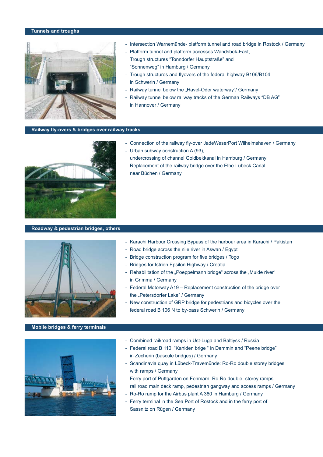### **Tunnels and troughs**



- Intersection Warnemünde- platform tunnel and road bridge in Rostock / Germany
- Platform tunnel and platform accesses Wandsbek-East, Trough structures "Tonndorfer Hauptstraße" and "Sonnenweg" in Hamburg / Germany
- Trough structures and flyovers of the federal highway B106/B104 in Schwerin / Germany
- Railway tunnel below the "Havel-Oder waterway"/ Germany
- Railway tunnel below railway tracks of the German Railways "DB AG" in Hannover / Germany

### **Railway fly-overs & bridges over railway tracks**



# - Urban subway construction A (93),

- Connection of the railway fly-over JadeWeserPort Wilhelmshaven / Germany

- undercrossing of channel Goldbekkanal in Hamburg / Germany - Replacement of the railway bridge over the Elbe-Lübeck Canal
- near Büchen / Germany

### **Roadway & pedestrian bridges, others**



# - Karachi Harbour Crossing Bypass of the harbour area in Karachi / Pakistan

- Road bridge across the nile river in Aswan / Egypt
- Bridge construction program for five bridges / Togo
- Bridges for Istrion Epsilon Highway / Croatia
- Rehabilitation of the "Poeppelmann bridge" across the "Mulde river" in Grimma / Germany
- Federal Motorway A19 Replacement construction of the bridge over the "Petersdorfer Lake" / Germany
- New construction of GRP bridge for pedestrians and bicycles over the federal road B 106 N to by-pass Schwerin / Germany

### **Mobile bridges & ferry terminals**



- Combined rail/road ramps in Ust-Luga and Baltiysk / Russia
- Federal road B 110, "Kahlden brige " in Demmin and "Peene bridge" in Zecherin (bascule bridges) / Germany
- Scandinavia quay in Lübeck-Travemünde: Ro-Ro double storey bridges with ramps / Germany
- Ferry port of Puttgarden on Fehmarn: Ro-Ro double -storey ramps, rail road main deck ramp, pedestrian gangway and access ramps / Germany
- Ro-Ro ramp for the Airbus plant A 380 in Hamburg / Germany
- Ferry terminal in the Sea Port of Rostock and in the ferry port of Sassnitz on Rügen / Germany